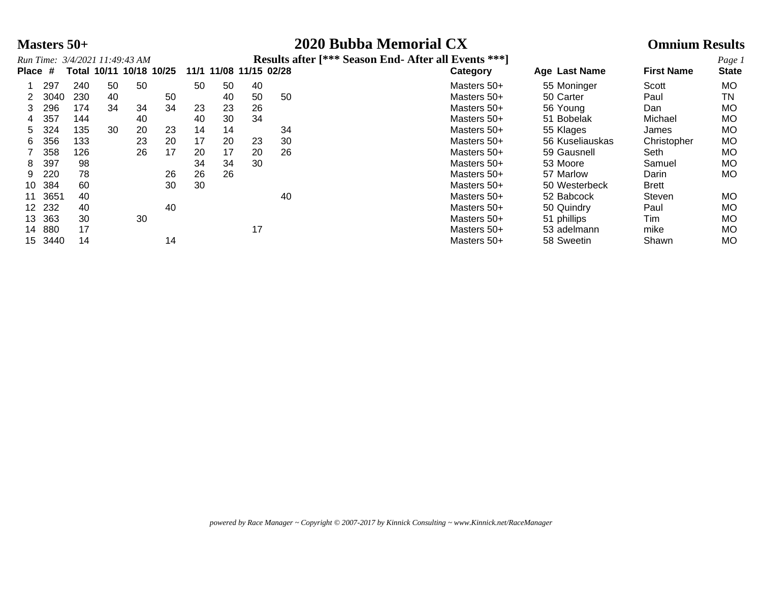### **Masters 50+ 2020 Bubba Memorial CX Omnium Results**

|         |        | Run Time: 3/4/2021 11:49:43 AM |    |    |                         |    |    |                        |    | <b>Results after [*** Season End- After all Events ***]</b> |                 |                   | Page 1       |
|---------|--------|--------------------------------|----|----|-------------------------|----|----|------------------------|----|-------------------------------------------------------------|-----------------|-------------------|--------------|
| Place # |        |                                |    |    | Total 10/11 10/18 10/25 |    |    | 11/1 11/08 11/15 02/28 |    | Category                                                    | Age Last Name   | <b>First Name</b> | <b>State</b> |
|         | 297    | 240                            | 50 | 50 |                         | 50 | 50 | 40                     |    | Masters 50+                                                 | 55 Moninger     | Scott             | MO.          |
|         | 3040   | 230                            | 40 |    | 50                      |    | 40 | 50                     | 50 | Masters 50+                                                 | 50 Carter       | Paul              | TN           |
|         | 296    | 174                            | 34 | 34 | 34                      | 23 | 23 | 26                     |    | Masters 50+                                                 | 56 Young        | Dan               | <b>MO</b>    |
| 4       | 357    | 144                            |    | 40 |                         | 40 | 30 | 34                     |    | Masters 50+                                                 | 51 Bobelak      | Michael           | MO           |
| 5.      | 324    | 135                            | 30 | 20 | 23                      | 14 | 14 |                        | 34 | Masters 50+                                                 | 55 Klages       | James             | MO           |
| 6.      | 356    | 133                            |    | 23 | 20                      | 17 | 20 | 23                     | 30 | Masters 50+                                                 | 56 Kuseliauskas | Christopher       | MO.          |
|         | 358    | 126                            |    | 26 | 17                      | 20 | 17 | 20                     | 26 | Masters 50+                                                 | 59 Gausnell     | Seth              | MO           |
| 8.      | 397    | 98                             |    |    |                         | 34 | 34 | 30                     |    | Masters 50+                                                 | 53 Moore        | Samuel            | MO.          |
| 9       | 220    | 78                             |    |    | 26                      | 26 | 26 |                        |    | Masters 50+                                                 | 57 Marlow       | Darin             | MO.          |
| 10      | 384    | 60                             |    |    | 30                      | 30 |    |                        |    | Masters 50+                                                 | 50 Westerbeck   | <b>Brett</b>      |              |
| 11      | 3651   | 40                             |    |    |                         |    |    |                        | 40 | Masters 50+                                                 | 52 Babcock      | Steven            | MO.          |
|         | 12 232 | 40                             |    |    | 40                      |    |    |                        |    | Masters 50+                                                 | 50 Quindry      | Paul              | MO.          |
| 13      | 363    | 30                             |    | 30 |                         |    |    |                        |    | Masters 50+                                                 | 51 phillips     | Tim               | MO.          |
| 14      | 880    | 17                             |    |    |                         |    |    | 17                     |    | Masters 50+                                                 | 53 adelmann     | mike              | MO           |
| 15      | 3440   | 14                             |    |    | 14                      |    |    |                        |    | Masters 50+                                                 | 58 Sweetin      | Shawn             | MO.          |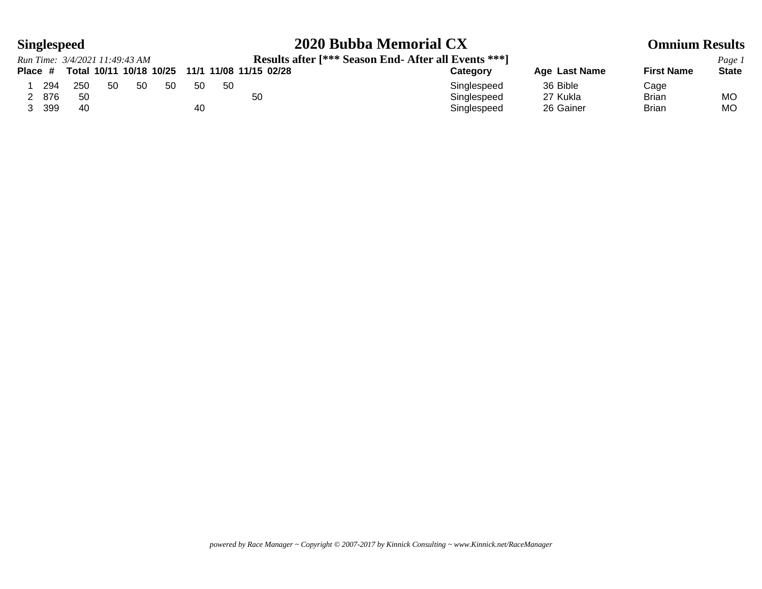## **Singlespeed 2020 Bubba Memorial CX Omnium Results**

|           |     | Run Time: 3/4/2021 11:49:43 AM |    |     |                         |     |     | <b>Results after [*** Season End- After all Events ***]</b> |             |               |                   | Page 1       |
|-----------|-----|--------------------------------|----|-----|-------------------------|-----|-----|-------------------------------------------------------------|-------------|---------------|-------------------|--------------|
| Place $#$ |     |                                |    |     | Total 10/11 10/18 10/25 |     |     | 11/1 11/08 11/15 02/28                                      | Category    | Age Last Name | <b>First Name</b> | <b>State</b> |
|           | 294 | 250                            | 50 | -50 | 50                      | -50 | -50 |                                                             | Singlespeed | 36 Bible      | Cage              |              |
|           | 876 | 50                             |    |     |                         |     |     | 50                                                          | Singlespeed | 27 Kukla      | Brian             | МO           |
|           | 399 | 40                             |    |     |                         | 40  |     |                                                             | Singlespeed | 26 Gainer     | <b>Brian</b>      | MО           |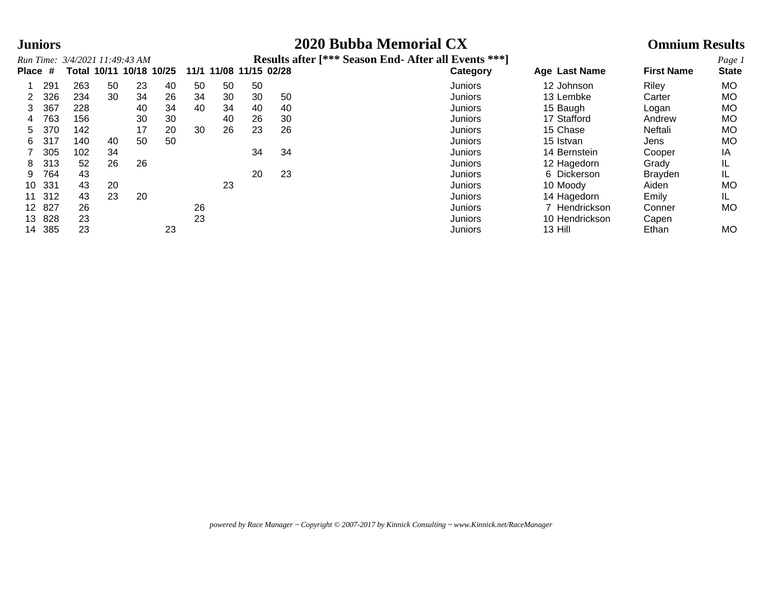### **Juniors 2020 Bubba Memorial CX Omnium Results**

|         |      | Run Time: 3/4/2021 11:49:43 AM |    |    |                         |    |                        |    |    | Results after [*** Season End- After all Events ***] |                |                   | Page 1       |
|---------|------|--------------------------------|----|----|-------------------------|----|------------------------|----|----|------------------------------------------------------|----------------|-------------------|--------------|
| Place # |      |                                |    |    | Total 10/11 10/18 10/25 |    | 11/1 11/08 11/15 02/28 |    |    | <b>Category</b>                                      | Age Last Name  | <b>First Name</b> | <b>State</b> |
|         | 291  | 263                            | 50 | 23 | 40                      | 50 | 50                     | 50 |    | <b>Juniors</b>                                       | 12 Johnson     | Riley             | МO           |
|         | 326  | 234                            | 30 | 34 | 26                      | 34 | 30                     | 30 | 50 | Juniors                                              | 13 Lembke      | Carter            | МO           |
|         | 367  | 228                            |    | 40 | 34                      | 40 | 34                     | 40 | 40 | <b>Juniors</b>                                       | 15 Baugh       | Logan             | МO           |
| 4       | 763  | 156                            |    | 30 | 30                      |    | 40                     | 26 | 30 | Juniors                                              | 17 Stafford    | Andrew            | МO           |
| 5       | 370  | 142                            |    | 17 | 20                      | 30 | 26                     | 23 | 26 | Juniors                                              | 15 Chase       | Neftali           | МO           |
| 6       | 317  | 140                            | 40 | 50 | 50                      |    |                        |    |    | Juniors                                              | 15 Istvan      | Jens              | МO           |
|         | 305  | 102                            | 34 |    |                         |    |                        | 34 | 34 | Juniors                                              | 14 Bernstein   | Cooper            | ΙA           |
| 8       | 313  | 52                             | 26 | 26 |                         |    |                        |    |    | Juniors                                              | 12 Hagedorn    | Grady             | IL           |
| 9       | 764  | 43                             |    |    |                         |    |                        | 20 | 23 | Juniors                                              | 6 Dickerson    | <b>Brayden</b>    | IL           |
| 10      | 331  | 43                             | 20 |    |                         |    | 23                     |    |    | Juniors                                              | 10 Moody       | Aiden             | МO           |
| 11      | 312  | 43                             | 23 | 20 |                         |    |                        |    |    | Juniors                                              | 14 Hagedorn    | Emily             | IL           |
| 12.     | -827 | 26                             |    |    |                         | 26 |                        |    |    | Juniors                                              | Hendrickson    | Conner            | МO           |
| 13      | 828  | 23                             |    |    |                         | 23 |                        |    |    | Juniors                                              | 10 Hendrickson | Capen             |              |
| 14      | 385  | 23                             |    |    | 23                      |    |                        |    |    | Juniors                                              | 13 Hill        | Ethan             | <b>MO</b>    |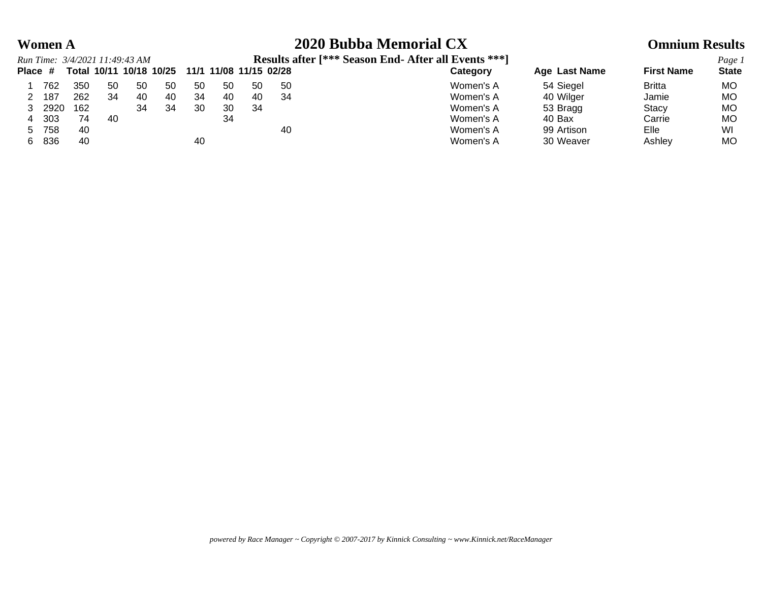### **Women A 2020 Bubba Memorial CX Omnium Results**

|         |      | Run Time: 3/4/2021 11:49:43 AM |    |    |                         |     |                        |    |     | Results after [*** Season End- After all Events ***] |               |                   | Page 1       |
|---------|------|--------------------------------|----|----|-------------------------|-----|------------------------|----|-----|------------------------------------------------------|---------------|-------------------|--------------|
| Place # |      |                                |    |    | Total 10/11 10/18 10/25 |     | 11/1 11/08 11/15 02/28 |    |     | Category                                             | Age Last Name | <b>First Name</b> | <b>State</b> |
|         | 762  | 350                            | 50 | 50 | 50                      | -50 | 50                     | 50 | -50 | Women's A                                            | 54 Siegel     | <b>Britta</b>     | MO.          |
|         | 187  | 262                            | 34 | 40 | 40                      | 34  | 40                     | 40 | 34  | Women's A                                            | 40 Wilger     | Jamie             | МO           |
|         | 2920 | 162                            |    | 34 | 34                      | 30  | 30                     | 34 |     | Women's A                                            | 53 Bragg      | Stacy             | МO           |
| 4       | 303  | 74                             | 40 |    |                         |     | 34                     |    |     | Women's A                                            | 40 Bax        | Carrie            | MО           |
| $5 -$   | 758  | 40                             |    |    |                         |     |                        |    | 40  | Women's A                                            | 99 Artison    | Elle              | WI           |
| 6.      | 836  | 40                             |    |    |                         | 40  |                        |    |     | Women's A                                            | 30 Weaver     | Ashlev            | MO           |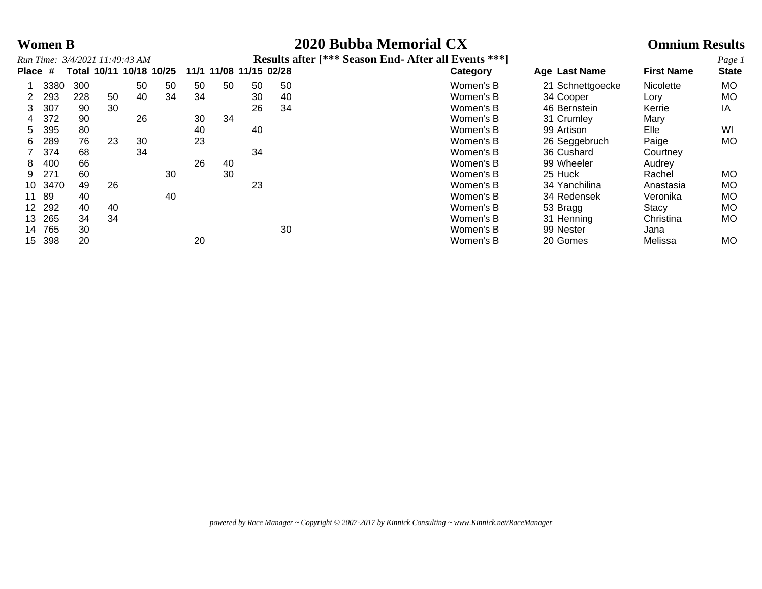### **Women B 2020 Bubba Memorial CX Omnium Results**

|         |      |     |    | Run Time: 3/4/2021 11:49:43 AM |                         |    |                        |    |    | Results after [*** Season End- After all Events ***] |                      |                   | Page 1       |
|---------|------|-----|----|--------------------------------|-------------------------|----|------------------------|----|----|------------------------------------------------------|----------------------|-------------------|--------------|
| Place # |      |     |    |                                | Total 10/11 10/18 10/25 |    | 11/1 11/08 11/15 02/28 |    |    | Category                                             | <b>Age Last Name</b> | <b>First Name</b> | <b>State</b> |
|         | 3380 | 300 |    | 50                             | 50                      | 50 | 50                     | 50 | 50 | Women's B                                            | 21 Schnettgoecke     | Nicolette         | MO.          |
|         | 293  | 228 | 50 | 40                             | 34                      | 34 |                        | 30 | 40 | Women's B                                            | 34 Cooper            | Lory              | MO.          |
|         | 307  | 90  | 30 |                                |                         |    |                        | 26 | 34 | Women's B                                            | 46 Bernstein         | Kerrie            | ΙA           |
| 4       | 372  | 90  |    | 26                             |                         | 30 | 34                     |    |    | Women's B                                            | 31 Crumley           | Mary              |              |
| 5.      | 395  | 80  |    |                                |                         | 40 |                        | 40 |    | Women's B                                            | 99 Artison           | Elle              | WI           |
| 6       | 289  | 76  | 23 | 30                             |                         | 23 |                        |    |    | Women's B                                            | 26 Seggebruch        | Paige             | <b>MO</b>    |
|         | 374  | 68  |    | 34                             |                         |    |                        | 34 |    | Women's B                                            | 36 Cushard           | Courtney          |              |
| 8       | 400  | 66  |    |                                |                         | 26 | 40                     |    |    | Women's B                                            | 99 Wheeler           | Audrey            |              |
| 9       | 271  | 60  |    |                                | 30                      |    | 30                     |    |    | Women's B                                            | 25 Huck              | Rachel            | <b>MO</b>    |
| 10      | 3470 | 49  | 26 |                                |                         |    |                        | 23 |    | Women's B                                            | 34 Yanchilina        | Anastasia         | МO           |
| 11      | 89   | 40  |    |                                | 40                      |    |                        |    |    | Women's B                                            | 34 Redensek          | Veronika          | МO           |
| $12 \,$ | 292  | 40  | 40 |                                |                         |    |                        |    |    | Women's B                                            | 53 Bragg             | <b>Stacy</b>      | МO           |
| 13      | 265  | 34  | 34 |                                |                         |    |                        |    |    | Women's B                                            | 31 Henning           | Christina         | MO.          |
| 14      | 765  | 30  |    |                                |                         |    |                        |    | 30 | Women's B                                            | 99 Nester            | Jana              |              |
| 15      | 398  | 20  |    |                                |                         | 20 |                        |    |    | Women's B                                            | 20 Gomes             | Melissa           | МO           |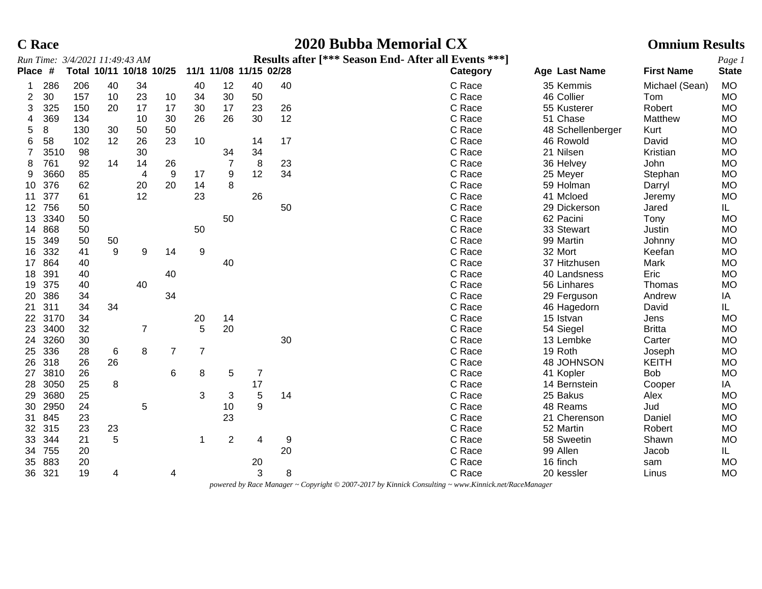| Race |
|------|
|      |

### **C Race 2020 Bubba Memorial CX Omnium Results**

|                 |         | Run Time: 3/4/2021 11:49:43 AM |       |                         |                |                |                |                        |    | Results after [*** Season End- After all Events ***] |                   |                   | Page 1       |
|-----------------|---------|--------------------------------|-------|-------------------------|----------------|----------------|----------------|------------------------|----|------------------------------------------------------|-------------------|-------------------|--------------|
| Place #         |         |                                |       | Total 10/11 10/18 10/25 |                |                |                | 11/1 11/08 11/15 02/28 |    | Category                                             | Age Last Name     | <b>First Name</b> | <b>State</b> |
|                 | 286     | 206                            | 40    | 34                      |                | 40             | 12             | 40                     | 40 | C Race                                               | 35 Kemmis         | Michael (Sean)    | <b>MO</b>    |
| 2               | 30      | 157                            | 10    | 23                      | 10             | 34             | 30             | 50                     |    | C Race                                               | 46 Collier        | Tom               | <b>MO</b>    |
| 3               | 325     | 150                            | 20    | 17                      | 17             | 30             | 17             | 23                     | 26 | C Race                                               | 55 Kusterer       | Robert            | <b>MO</b>    |
| 4               | 369     | 134                            |       | 10                      | 30             | 26             | 26             | 30                     | 12 | C Race                                               | 51 Chase          | Matthew           | MO           |
| 5               | 8       | 130                            | 30    | 50                      | 50             |                |                |                        |    | C Race                                               | 48 Schellenberger | Kurt              | MO           |
| 6               | 58      | 102                            | 12    | 26                      | 23             | 10             |                | 14                     | 17 | C Race                                               | 46 Rowold         | David             | <b>MO</b>    |
|                 | 3510    | 98                             |       | 30                      |                |                | 34             | 34                     |    | C Race                                               | 21 Nilsen         | Kristian          | <b>MO</b>    |
| 8               | 761     | 92                             | 14    | 14                      | 26             |                |                | 8                      | 23 | C Race                                               | 36 Helvey         | John              | MO           |
| 9               | 3660    | 85                             |       | 4                       | 9              | 17             | 9              | 12                     | 34 | C Race                                               | 25 Meyer          | Stephan           | <b>MO</b>    |
| 10              | 376     | 62                             |       | 20                      | 20             | 14             | 8              |                        |    | C Race                                               | 59 Holman         | Darryl            | <b>MO</b>    |
| 11              | 377     | 61                             |       | 12                      |                | 23             |                | 26                     |    | C Race                                               | 41 Mcloed         | Jeremy            | MO           |
| 12 <sup>2</sup> | 756     | 50                             |       |                         |                |                |                |                        | 50 | C Race                                               | 29 Dickerson      | Jared             | IL.          |
| 13              | 3340    | 50                             |       |                         |                |                | 50             |                        |    | C Race                                               | 62 Pacini         | Tony              | <b>MO</b>    |
| 14              | 868     | 50                             |       |                         |                | 50             |                |                        |    | C Race                                               | 33 Stewart        | Justin            | <b>MO</b>    |
| 15              | 349     | 50                             | 50    |                         |                |                |                |                        |    | C Race                                               | 99 Martin         | Johnny            | MO           |
| 16              | 332     | 41                             | 9     | 9                       | 14             | 9              |                |                        |    | C Race                                               | 32 Mort           | Keefan            | <b>MO</b>    |
| 17              | 864     | 40                             |       |                         |                |                | 40             |                        |    | C Race                                               | 37 Hitzhusen      | Mark              | <b>MO</b>    |
| 18              | 391     | 40                             |       |                         | 40             |                |                |                        |    | C Race                                               | 40 Landsness      | Eric              | <b>MO</b>    |
| 19              | 375     | 40                             |       | 40                      |                |                |                |                        |    | C Race                                               | 56 Linhares       | Thomas            | <b>MO</b>    |
| 20              | 386     | 34                             |       |                         | 34             |                |                |                        |    | C Race                                               | 29 Ferguson       | Andrew            | IA           |
| 21              | 311     | 34                             | 34    |                         |                |                |                |                        |    | C Race                                               | 46 Hagedorn       | David             | IL.          |
|                 | 22 3170 | 34                             |       |                         |                | 20             | 14             |                        |    | C Race                                               | 15 Istvan         | Jens              | <b>MO</b>    |
| 23              | 3400    | 32                             |       | 7                       |                | 5              | 20             |                        |    | C Race                                               | 54 Siegel         | <b>Britta</b>     | <b>MO</b>    |
| 24              | 3260    | 30                             |       |                         |                |                |                |                        | 30 | C Race                                               | 13 Lembke         | Carter            | MO           |
| 25              | 336     | 28                             | $\,6$ | 8                       | $\overline{7}$ | $\overline{7}$ |                |                        |    | C Race                                               | 19 Roth           | Joseph            | MO           |
| 26              | 318     | 26                             | 26    |                         |                |                |                |                        |    | C Race                                               | 48 JOHNSON        | <b>KEITH</b>      | MO           |
| 27              | 3810    | 26                             |       |                         | 6              | 8              | 5              | $\overline{7}$         |    | C Race                                               | 41 Kopler         | <b>Bob</b>        | <b>MO</b>    |
| 28              | 3050    | 25                             | 8     |                         |                |                |                | $17$                   |    | C Race                                               | 14 Bernstein      | Cooper            | IA           |
| 29              | 3680    | 25                             |       |                         |                | 3              | 3              | $\overline{5}$         | 14 | C Race                                               | 25 Bakus          | Alex              | <b>MO</b>    |
| 30              | 2950    | 24                             |       | 5                       |                |                | 10             | 9                      |    | C Race                                               | 48 Reams          | Jud               | <b>MO</b>    |
| 31              | 845     | 23                             |       |                         |                |                | 23             |                        |    | C Race                                               | 21 Cherenson      | Daniel            | <b>MO</b>    |
| 32 <sup>2</sup> | 315     | 23                             | 23    |                         |                |                |                |                        |    | C Race                                               | 52 Martin         | Robert            | MO           |
| 33              | 344     | 21                             | 5     |                         |                | $\mathbf 1$    | $\overline{2}$ | 4                      | 9  | C Race                                               | 58 Sweetin        | Shawn             | <b>MO</b>    |
| 34              | 755     | 20                             |       |                         |                |                |                |                        | 20 | C Race                                               | 99 Allen          | Jacob             | IL.          |
| 35              | 883     | 20                             |       |                         |                |                |                | 20                     |    | C Race                                               | 16 finch          | sam               | <b>MO</b>    |
|                 | 36 321  | 19                             | 4     |                         | 4              |                |                | 3                      | 8  | C Race                                               | 20 kessler        | Linus             | <b>MO</b>    |

*powered by Race Manager ~ Copyright © 2007-2017 by Kinnick Consulting ~ www.Kinnick.net/RaceManager*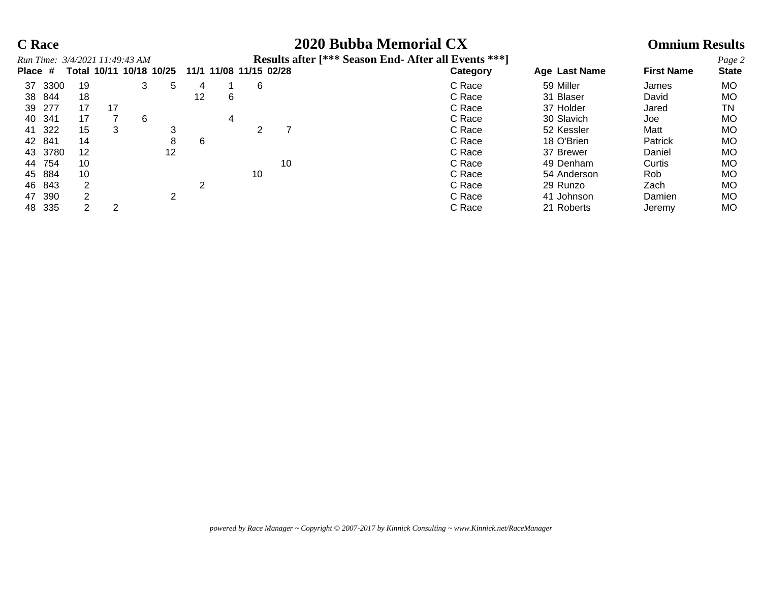### **C Race 2020 Bubba Memorial CX Omnium Results**

|         |      | Run Time: 3/4/2021 11:49:43 AM |    |   |                         |    |   |    |                        | <b>Results after [*** Season End- After all Events ***]</b> |               |                   | Page 2       |
|---------|------|--------------------------------|----|---|-------------------------|----|---|----|------------------------|-------------------------------------------------------------|---------------|-------------------|--------------|
| Place # |      |                                |    |   | Total 10/11 10/18 10/25 |    |   |    | 11/1 11/08 11/15 02/28 | Category                                                    | Age Last Name | <b>First Name</b> | <b>State</b> |
| 37      | 3300 | 19                             |    | 3 | 5                       | 4  |   | 6  |                        | C Race                                                      | 59 Miller     | James             | MO           |
| 38      | 844  | 18                             |    |   |                         | 12 | 6 |    |                        | C Race                                                      | 31 Blaser     | David             | MO           |
| 39      | -277 | 17                             | 17 |   |                         |    |   |    |                        | C Race                                                      | 37 Holder     | Jared             | TN           |
| 40      | 341  | 17                             |    | 6 |                         |    | 4 |    |                        | C Race                                                      | 30 Slavich    | Joe               | MO           |
| 41      | -322 | 15                             | 3  |   |                         |    |   |    |                        | C Race                                                      | 52 Kessler    | Matt              | MO           |
| 42      | 841  | 14                             |    |   | 8                       | 6  |   |    |                        | C Race                                                      | 18 O'Brien    | Patrick           | MO           |
| 43      | 3780 | 12                             |    |   | $12 \,$                 |    |   |    |                        | C Race                                                      | 37 Brewer     | Daniel            | MO           |
| 44      | 754  | 10                             |    |   |                         |    |   |    | 10                     | C Race                                                      | 49 Denham     | Curtis            | MO           |
| 45      | 884  | 10                             |    |   |                         |    |   | 10 |                        | C Race                                                      | 54 Anderson   | Rob               | MO           |
| 46      | 843  |                                |    |   |                         | ົ  |   |    |                        | C Race                                                      | 29 Runzo      | Zach              | MO           |
| 47      | 390  |                                |    |   | ົ                       |    |   |    |                        | C Race                                                      | 41 Johnson    | Damien            | MO           |
| 48      | 335  |                                | 2  |   |                         |    |   |    |                        | C Race                                                      | 21 Roberts    | Jeremy            | MO           |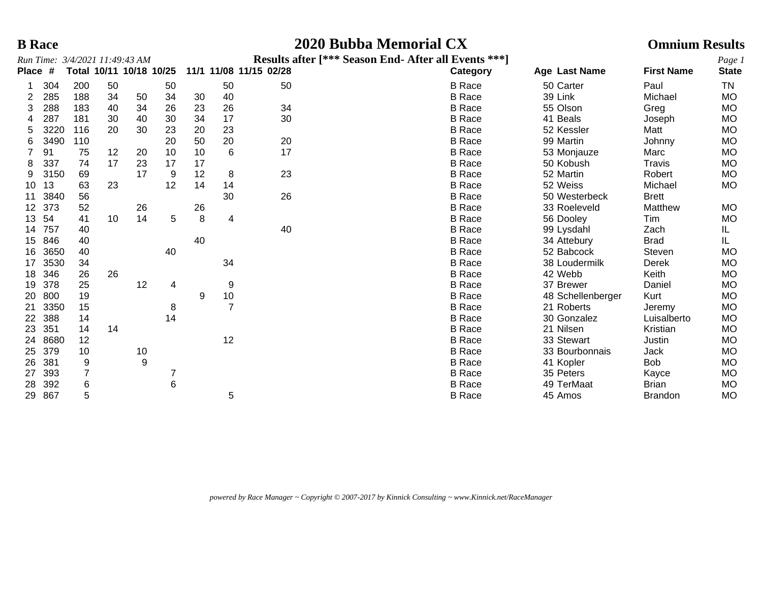### **B Race 2020 Bubba Memorial CX Omnium Results**

|              |      |     |    | Run Time: 3/4/2021 11:49:43 AM |    |    |                |                        | Results after [*** Season End- After all Events ***] |                   |                   | Page 1       |
|--------------|------|-----|----|--------------------------------|----|----|----------------|------------------------|------------------------------------------------------|-------------------|-------------------|--------------|
| <b>Place</b> | #    |     |    | Total 10/11 10/18 10/25        |    |    |                | 11/1 11/08 11/15 02/28 | Category                                             | Age Last Name     | <b>First Name</b> | <b>State</b> |
|              | 304  | 200 | 50 |                                | 50 |    | 50             | 50                     | <b>B</b> Race                                        | 50 Carter         | Paul              | TN           |
| 2            | 285  | 188 | 34 | 50                             | 34 | 30 | 40             |                        | <b>B</b> Race                                        | 39 Link           | Michael           | <b>MO</b>    |
| 3            | 288  | 183 | 40 | 34                             | 26 | 23 | 26             | 34                     | <b>B</b> Race                                        | 55 Olson          | Greg              | MO           |
|              | 287  | 181 | 30 | 40                             | 30 | 34 | 17             | 30                     | <b>B</b> Race                                        | 41 Beals          | Joseph            | MO           |
|              | 3220 | 116 | 20 | 30                             | 23 | 20 | 23             |                        | <b>B</b> Race                                        | 52 Kessler        | Matt              | MO           |
| 6            | 3490 | 110 |    |                                | 20 | 50 | 20             | 20                     | <b>B</b> Race                                        | 99 Martin         | Johnny            | MO           |
|              | 91   | 75  | 12 | 20                             | 10 | 10 | 6              | 17                     | <b>B</b> Race                                        | 53 Monjauze       | Marc              | MO           |
|              | 337  | 74  | 17 | 23                             | 17 | 17 |                |                        | <b>B</b> Race                                        | 50 Kobush         | Travis            | <b>MO</b>    |
| 9            | 3150 | 69  |    | 17                             | 9  | 12 | 8              | 23                     | <b>B</b> Race                                        | 52 Martin         | Robert            | <b>MO</b>    |
| 10           | 13   | 63  | 23 |                                | 12 | 14 | 14             |                        | <b>B</b> Race                                        | 52 Weiss          | Michael           | <b>MO</b>    |
| 11           | 3840 | 56  |    |                                |    |    | 30             | 26                     | <b>B</b> Race                                        | 50 Westerbeck     | <b>Brett</b>      |              |
| 12           | 373  | 52  |    | 26                             |    | 26 |                |                        | <b>B</b> Race                                        | 33 Roeleveld      | Matthew           | MO           |
| 13           | 54   | 41  | 10 | 14                             | 5  | 8  | 4              |                        | <b>B</b> Race                                        | 56 Dooley         | Tim               | MO           |
| 14           | 757  | 40  |    |                                |    |    |                | 40                     | <b>B</b> Race                                        | 99 Lysdahl        | Zach              | IL.          |
| 15           | 846  | 40  |    |                                |    | 40 |                |                        | <b>B</b> Race                                        | 34 Attebury       | <b>Brad</b>       | IL.          |
| 16           | 3650 | 40  |    |                                | 40 |    |                |                        | <b>B</b> Race                                        | 52 Babcock        | Steven            | <b>MO</b>    |
| 17           | 3530 | 34  |    |                                |    |    | 34             |                        | <b>B</b> Race                                        | 38 Loudermilk     | Derek             | <b>MO</b>    |
| 18           | 346  | 26  | 26 |                                |    |    |                |                        | <b>B</b> Race                                        | 42 Webb           | Keith             | MO           |
| 19           | 378  | 25  |    | 12                             | 4  |    | 9              |                        | <b>B</b> Race                                        | 37 Brewer         | Daniel            | <b>MO</b>    |
| 20           | 800  | 19  |    |                                |    | 9  | $10$           |                        | <b>B</b> Race                                        | 48 Schellenberger | Kurt              | MO           |
| 21           | 3350 | 15  |    |                                | 8  |    | $\overline{7}$ |                        | <b>B</b> Race                                        | 21 Roberts        | Jeremy            | <b>MO</b>    |
| 22           | 388  | 14  |    |                                | 14 |    |                |                        | <b>B</b> Race                                        | 30 Gonzalez       | Luisalberto       | <b>MO</b>    |
| 23           | 351  | 14  | 14 |                                |    |    |                |                        | <b>B</b> Race                                        | 21 Nilsen         | Kristian          | <b>MO</b>    |
| 24           | 8680 | 12  |    |                                |    |    | 12             |                        | <b>B</b> Race                                        | 33 Stewart        | Justin            | MO           |
| 25           | 379  | 10  |    | 10                             |    |    |                |                        | <b>B</b> Race                                        | 33 Bourbonnais    | Jack              | MO           |
| 26           | 381  | 9   |    | 9                              |    |    |                |                        | <b>B</b> Race                                        | 41 Kopler         | <b>Bob</b>        | <b>MO</b>    |
| 27           | 393  |     |    |                                |    |    |                |                        | <b>B</b> Race                                        | 35 Peters         | Kayce             | <b>MO</b>    |
| 28           | 392  | 6   |    |                                | 6  |    |                |                        | <b>B</b> Race                                        | 49 TerMaat        | <b>Brian</b>      | MO           |
| 29           | 867  | 5   |    |                                |    |    | 5              |                        | <b>B</b> Race                                        | 45 Amos           | <b>Brandon</b>    | <b>MO</b>    |

*powered by Race Manager ~ Copyright © 2007-2017 by Kinnick Consulting ~ www.Kinnick.net/RaceManager*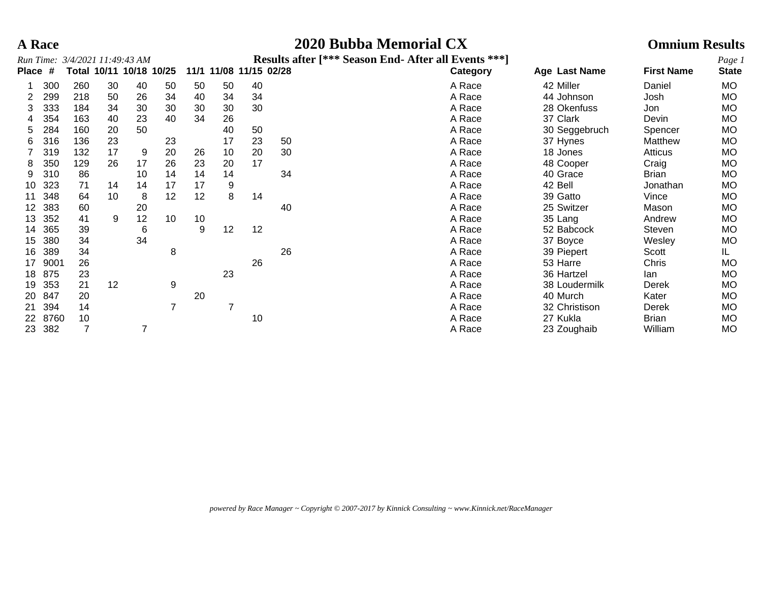## **A Race 2020 Bubba Memorial CX Omnium Results**

|              |      | Run Time: 3/4/2021 11:49:43 AM |    |                   |    |    |                        |    |    | Results after [*** Season End- After all Events ***] |               |                   | Page 1       |
|--------------|------|--------------------------------|----|-------------------|----|----|------------------------|----|----|------------------------------------------------------|---------------|-------------------|--------------|
| <b>Place</b> | #    | Total                          |    | 10/11 10/18 10/25 |    |    | 11/1 11/08 11/15 02/28 |    |    | Category                                             | Age Last Name | <b>First Name</b> | <b>State</b> |
|              | 300  | 260                            | 30 | 40                | 50 | 50 | 50                     | 40 |    | A Race                                               | 42 Miller     | Daniel            | MO.          |
| 2            | 299  | 218                            | 50 | 26                | 34 | 40 | 34                     | 34 |    | A Race                                               | 44 Johnson    | Josh              | MO           |
| 3.           | 333  | 184                            | 34 | 30                | 30 | 30 | 30                     | 30 |    | A Race                                               | 28 Okenfuss   | Jon               | <b>MO</b>    |
|              | 354  | 163                            | 40 | 23                | 40 | 34 | 26                     |    |    | A Race                                               | 37 Clark      | Devin             | <b>MO</b>    |
| 5.           | 284  | 160                            | 20 | 50                |    |    | 40                     | 50 |    | A Race                                               | 30 Seggebruch | Spencer           | MO           |
| 6.           | 316  | 136                            | 23 |                   | 23 |    | 17                     | 23 | 50 | A Race                                               | 37 Hynes      | Matthew           | <b>MO</b>    |
|              | 319  | 132                            | 17 | 9                 | 20 | 26 | 10                     | 20 | 30 | A Race                                               | 18 Jones      | Atticus           | MO           |
| 8            | 350  | 129                            | 26 | 17                | 26 | 23 | 20                     | 17 |    | A Race                                               | 48 Cooper     | Craig             | <b>MO</b>    |
|              | 310  | 86                             |    | 10                | 14 | 14 | 14                     |    | 34 | A Race                                               | 40 Grace      | <b>Brian</b>      | МO           |
| 10           | 323  | 71                             | 14 | 14                | 17 | 17 | 9                      |    |    | A Race                                               | 42 Bell       | Jonathan          | <b>MO</b>    |
|              | 348  | 64                             | 10 | 8                 | 12 | 12 | 8                      | 14 |    | A Race                                               | 39 Gatto      | Vince             | MO           |
| 12           | 383  | 60                             |    | 20                |    |    |                        |    | 40 | A Race                                               | 25 Switzer    | Mason             | <b>MO</b>    |
| 13           | 352  | 41                             | 9  | 12                | 10 | 10 |                        |    |    | A Race                                               | 35 Lang       | Andrew            | MO           |
| 14           | 365  | 39                             |    | 6                 |    | 9  | 12                     | 12 |    | A Race                                               | 52 Babcock    | Steven            | <b>MO</b>    |
| 15           | 380  | 34                             |    | 34                |    |    |                        |    |    | A Race                                               | 37 Boyce      | Wesley            | MO           |
| 16           | 389  | 34                             |    |                   | 8  |    |                        |    | 26 | A Race                                               | 39 Piepert    | Scott             | IL.          |
| 17           | 9001 | 26                             |    |                   |    |    |                        | 26 |    | A Race                                               | 53 Harre      | Chris             | MO           |
| 18           | 875  | 23                             |    |                   |    |    | 23                     |    |    | A Race                                               | 36 Hartzel    | lan               | <b>MO</b>    |
| 19           | 353  | 21                             | 12 |                   | 9  |    |                        |    |    | A Race                                               | 38 Loudermilk | Derek             | MO           |
| <b>20</b>    | 847  | 20                             |    |                   |    | 20 |                        |    |    | A Race                                               | 40 Murch      | Kater             | MO.          |
| 21           | 394  | 14                             |    |                   |    |    |                        |    |    | A Race                                               | 32 Christison | Derek             | MO           |
| 22           | 8760 | 10                             |    |                   |    |    |                        | 10 |    | A Race                                               | 27 Kukla      | <b>Brian</b>      | <b>MO</b>    |
| 23           | 382  |                                |    |                   |    |    |                        |    |    | A Race                                               | 23 Zoughaib   | William           | MO           |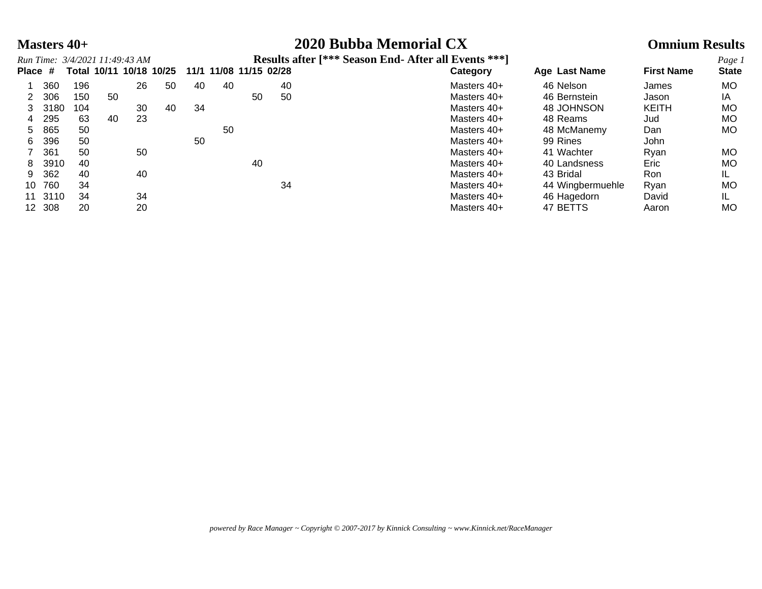### **Masters 40+ 2020 Bubba Memorial CX Omnium Results**

|         |        | Run Time: 3/4/2021 11:49:43 AM |    |    |                         |    |                        |    |    | <b>Results after [*** Season End- After all Events ***]</b> |                  |                   | Page 1       |
|---------|--------|--------------------------------|----|----|-------------------------|----|------------------------|----|----|-------------------------------------------------------------|------------------|-------------------|--------------|
| Place # |        |                                |    |    | Total 10/11 10/18 10/25 |    | 11/1 11/08 11/15 02/28 |    |    | Category                                                    | Age Last Name    | <b>First Name</b> | <b>State</b> |
|         | 360    | 196                            |    | 26 | 50                      | 40 | 40                     |    | 40 | Masters 40+                                                 | 46 Nelson        | James             | MO.          |
|         | 306    | 150                            | 50 |    |                         |    |                        | 50 | 50 | Masters 40+                                                 | 46 Bernstein     | Jason             | ΙA           |
| 3.      | 3180   | 104                            |    | 30 | 40                      | 34 |                        |    |    | Masters 40+                                                 | 48 JOHNSON       | <b>KEITH</b>      | MO.          |
| 4       | 295    | 63                             | 40 | 23 |                         |    |                        |    |    | Masters 40+                                                 | 48 Reams         | Jud               | MO.          |
| 5.      | 865    | 50                             |    |    |                         |    | 50                     |    |    | Masters 40+                                                 | 48 McManemy      | Dan               | MO.          |
| 6       | 396    | 50                             |    |    |                         | 50 |                        |    |    | Masters 40+                                                 | 99 Rines         | John              |              |
|         | 361    | 50                             |    | 50 |                         |    |                        |    |    | Masters 40+                                                 | 41 Wachter       | Ryan              | MO.          |
| 8       | 3910   | 40                             |    |    |                         |    |                        | 40 |    | Masters 40+                                                 | 40 Landsness     | Eric              | MO.          |
| 9       | 362    | 40                             |    | 40 |                         |    |                        |    |    | Masters 40+                                                 | 43 Bridal        | Ron               |              |
| 10      | 760    | 34                             |    |    |                         |    |                        |    | 34 | Masters 40+                                                 | 44 Wingbermuehle | Rvan              | MO           |
| 11      | 3110   | 34                             |    | 34 |                         |    |                        |    |    | Masters 40+                                                 | 46 Hagedorn      | David             | IL           |
|         | 12 308 | 20                             |    | 20 |                         |    |                        |    |    | Masters 40+                                                 | 47 BETTS         | Aaron             | MO.          |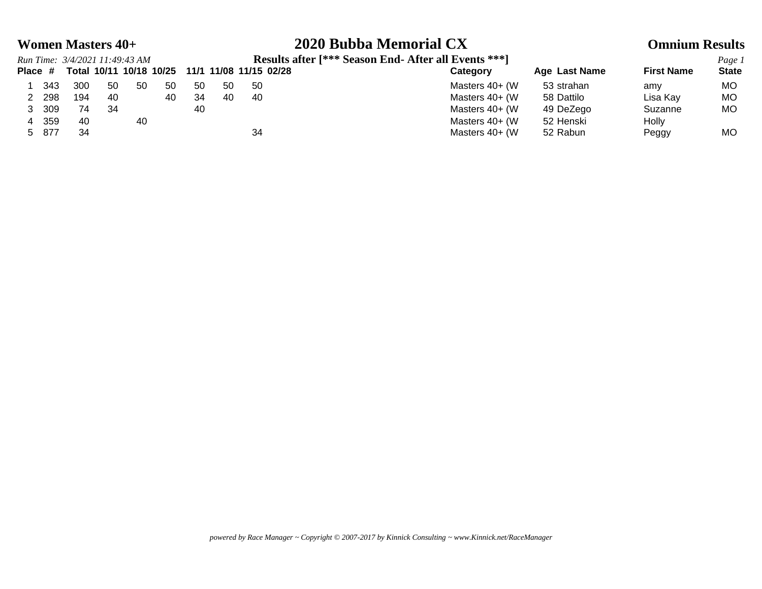# **Women Masters 40+ 2020 Bubba Memorial CX Omnium Results**<br>**Possils ofter [\*\*\* Soson End. After all Events \*\*\*]**

*Run Time: 3/4/2021 11:49:43 AM* **Results after [\*\*\* Season End- After all Events \*\*\*]** *Page 1*

|         |       | Run Time: 3/4/2021 11:49:43 AM |    |     |                         |    |     |                        | Results after 1 with Season Eng- After all Events with |               |                   | Page.        |
|---------|-------|--------------------------------|----|-----|-------------------------|----|-----|------------------------|--------------------------------------------------------|---------------|-------------------|--------------|
| Place # |       |                                |    |     | Total 10/11 10/18 10/25 |    |     | 11/1 11/08 11/15 02/28 | Category                                               | Age Last Name | <b>First Name</b> | <b>State</b> |
|         | -343  | 300                            | 50 | -50 | 50                      | 50 | -50 | -50                    | Masters 40+ (W)                                        | 53 strahan    | amy               | МO           |
|         | 298   | 194                            | 40 |     | 40                      | 34 | 40  | -40                    | Masters 40+ (W)                                        | 58 Dattilo    | Lisa Kay          | <b>MO</b>    |
|         | 309   | 74                             | 34 |     |                         | 40 |     |                        | Masters 40+ (W)                                        | 49 DeZego     | Suzanne           | <b>MO</b>    |
|         | - 359 | -40                            |    | 40  |                         |    |     |                        | Masters 40+ (W)                                        | 52 Henski     | Holly             |              |
|         | 5 877 | 34                             |    |     |                         |    |     | 34                     | Masters 40+ (W)                                        | 52 Rabun      | Peggy             | <b>MO</b>    |
|         |       |                                |    |     |                         |    |     |                        |                                                        |               |                   |              |

*powered by Race Manager ~ Copyright © 2007-2017 by Kinnick Consulting ~ www.Kinnick.net/RaceManager*